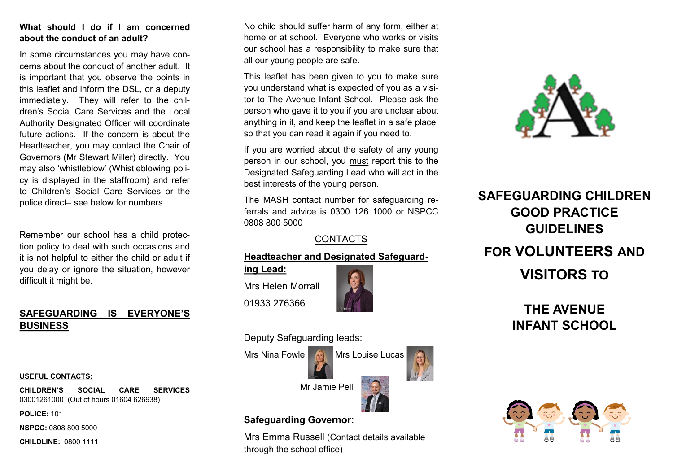# **What should I do if I am concerned about the conduct of an adult?**

In some circumstances you may have concerns about the conduct of another adult. It is important that you observe the points in this leaflet and inform the DSL, or a deputy immediately. They will refer to the children's Social Care Services and the Local Authority Designated Officer will coordinate future actions. If the concern is about the Headteacher, you may contact the Chair of Governors (Mr Stewart Miller) directly. You may also 'whistleblow' (Whistleblowing policy is displayed in the staffroom) and refer to Children's Social Care Services or the police direct– see below for numbers.

Remember our school has a child protection policy to deal with such occasions and it is not helpful to either the child or adult if you delay or ignore the situation, however difficult it might be.

# **SAFEGUARDING IS EVERYONE'S BUSINESS**

#### **USEFUL CONTACTS:**

**CHILDREN'S SOCIAL CARE SERVICES**  03001261000 (Out of hours 01604 626938)

**POLICE:** 101

**NSPCC:** 0808 800 5000

**CHILDLINE:** 0800 1111

No child should suffer harm of any form, either at home or at school. Everyone who works or visits our school has a responsibility to make sure that all our young people are safe.

This leaflet has been given to you to make sure you understand what is expected of you as a visitor to The Avenue Infant School. Please ask the person who gave it to you if you are unclear about anything in it, and keep the leaflet in a safe place, so that you can read it again if you need to.

If you are worried about the safety of any young person in our school, you must report this to the Designated Safeguarding Lead who will act in the best interests of the young person.

The MASH contact number for safeguarding referrals and advice is 0300 126 1000 or NSPCC 0808 800 5000

# **CONTACTS**

# **Headteacher and Designated Safeguard-**

**ing Lead:** Mrs Helen Morrall 01933 276366



Deputy Safeguarding leads:



# **Safeguarding Governor:**

Mrs Emma Russell (Contact details available through the school office)



# **SAFEGUARDING CHILDREN GOOD PRACTICE GUIDELINES FOR VOLUNTEERS AND VISITORS TO**

**THE AVENUE INFANT SCHOOL**